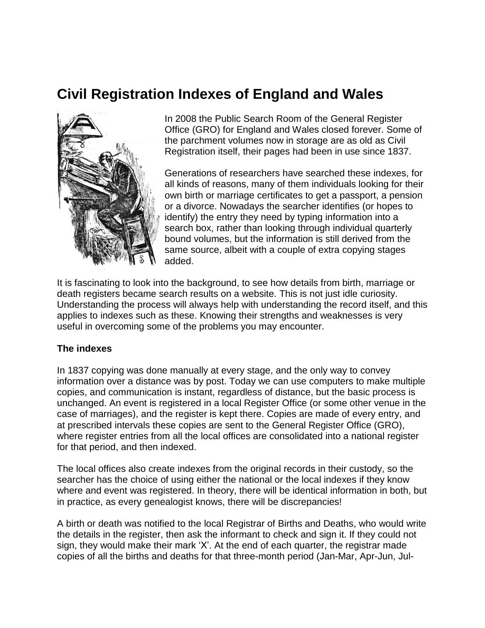# **Civil Registration Indexes of England and Wales**



In 2008 the Public Search Room of the General Register Office (GRO) for England and Wales closed forever. Some of the parchment volumes now in storage are as old as Civil Registration itself, their pages had been in use since 1837.

Generations of researchers have searched these indexes, for all kinds of reasons, many of them individuals looking for their own birth or marriage certificates to get a passport, a pension or a divorce. Nowadays the searcher identifies (or hopes to identify) the entry they need by typing information into a search box, rather than looking through individual quarterly bound volumes, but the information is still derived from the same source, albeit with a couple of extra copying stages added.

It is fascinating to look into the background, to see how details from birth, marriage or death registers became search results on a website. This is not just idle curiosity. Understanding the process will always help with understanding the record itself, and this applies to indexes such as these. Knowing their strengths and weaknesses is very useful in overcoming some of the problems you may encounter.

### **The indexes**

In 1837 copying was done manually at every stage, and the only way to convey information over a distance was by post. Today we can use computers to make multiple copies, and communication is instant, regardless of distance, but the basic process is unchanged. An event is registered in a local Register Office (or some other venue in the case of marriages), and the register is kept there. Copies are made of every entry, and at prescribed intervals these copies are sent to the General Register Office (GRO), where register entries from all the local offices are consolidated into a national register for that period, and then indexed.

The local offices also create indexes from the original records in their custody, so the searcher has the choice of using either the national or the local indexes if they know where and event was registered. In theory, there will be identical information in both, but in practice, as every genealogist knows, there will be discrepancies!

A birth or death was notified to the local Registrar of Births and Deaths, who would write the details in the register, then ask the informant to check and sign it. If they could not sign, they would make their mark 'X'. At the end of each quarter, the registrar made copies of all the births and deaths for that three-month period (Jan-Mar, Apr-Jun, Jul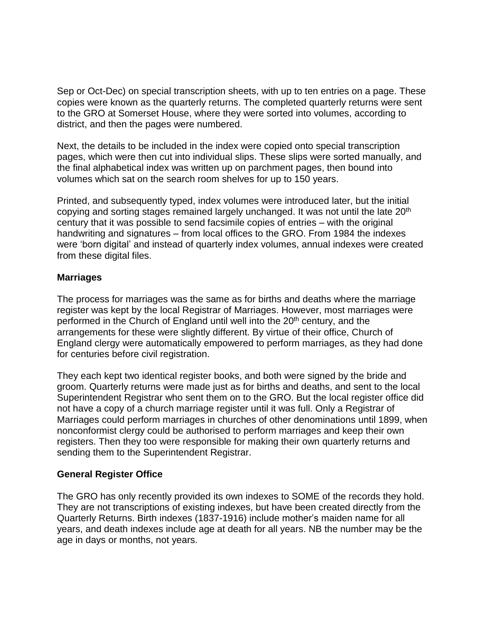Sep or Oct-Dec) on special transcription sheets, with up to ten entries on a page. These copies were known as the quarterly returns. The completed quarterly returns were sent to the GRO at Somerset House, where they were sorted into volumes, according to district, and then the pages were numbered.

Next, the details to be included in the index were copied onto special transcription pages, which were then cut into individual slips. These slips were sorted manually, and the final alphabetical index was written up on parchment pages, then bound into volumes which sat on the search room shelves for up to 150 years.

Printed, and subsequently typed, index volumes were introduced later, but the initial copying and sorting stages remained largely unchanged. It was not until the late 20<sup>th</sup> century that it was possible to send facsimile copies of entries – with the original handwriting and signatures – from local offices to the GRO. From 1984 the indexes were 'born digital' and instead of quarterly index volumes, annual indexes were created from these digital files.

### **Marriages**

The process for marriages was the same as for births and deaths where the marriage register was kept by the local Registrar of Marriages. However, most marriages were performed in the Church of England until well into the 20<sup>th</sup> century, and the arrangements for these were slightly different. By virtue of their office, Church of England clergy were automatically empowered to perform marriages, as they had done for centuries before civil registration.

They each kept two identical register books, and both were signed by the bride and groom. Quarterly returns were made just as for births and deaths, and sent to the local Superintendent Registrar who sent them on to the GRO. But the local register office did not have a copy of a church marriage register until it was full. Only a Registrar of Marriages could perform marriages in churches of other denominations until 1899, when nonconformist clergy could be authorised to perform marriages and keep their own registers. Then they too were responsible for making their own quarterly returns and sending them to the Superintendent Registrar.

### **General Register Office**

The GRO has only recently provided its own indexes to SOME of the records they hold. They are not transcriptions of existing indexes, but have been created directly from the Quarterly Returns. Birth indexes (1837-1916) include mother's maiden name for all years, and death indexes include age at death for all years. NB the number may be the age in days or months, not years.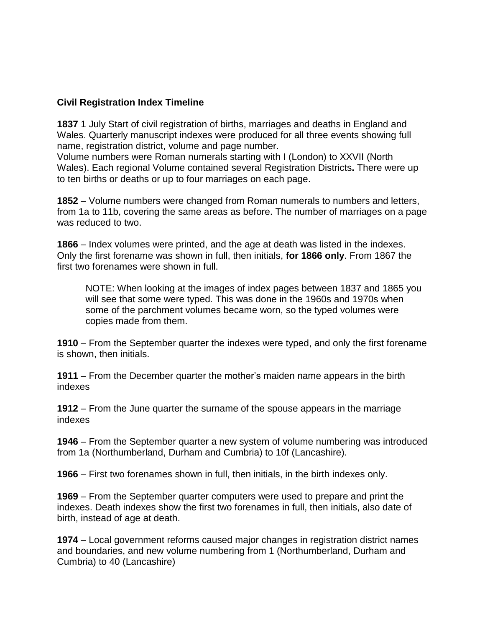### **Civil Registration Index Timeline**

**1837** 1 July Start of civil registration of births, marriages and deaths in England and Wales. Quarterly manuscript indexes were produced for all three events showing full name, registration district, volume and page number.

Volume numbers were Roman numerals starting with I (London) to XXVII (North Wales). Each regional Volume contained several Registration Districts**.** There were up to ten births or deaths or up to four marriages on each page.

**1852** – Volume numbers were changed from Roman numerals to numbers and letters, from 1a to 11b, covering the same areas as before. The number of marriages on a page was reduced to two.

**1866** – Index volumes were printed, and the age at death was listed in the indexes. Only the first forename was shown in full, then initials, **for 1866 only**. From 1867 the first two forenames were shown in full.

NOTE: When looking at the images of index pages between 1837 and 1865 you will see that some were typed. This was done in the 1960s and 1970s when some of the parchment volumes became worn, so the typed volumes were copies made from them.

**1910** – From the September quarter the indexes were typed, and only the first forename is shown, then initials.

**1911** – From the December quarter the mother's maiden name appears in the birth indexes

**1912** – From the June quarter the surname of the spouse appears in the marriage indexes

**1946** – From the September quarter a new system of volume numbering was introduced from 1a (Northumberland, Durham and Cumbria) to 10f (Lancashire).

**1966** – First two forenames shown in full, then initials, in the birth indexes only.

**1969** – From the September quarter computers were used to prepare and print the indexes. Death indexes show the first two forenames in full, then initials, also date of birth, instead of age at death.

**1974** – Local government reforms caused major changes in registration district names and boundaries, and new volume numbering from 1 (Northumberland, Durham and Cumbria) to 40 (Lancashire)